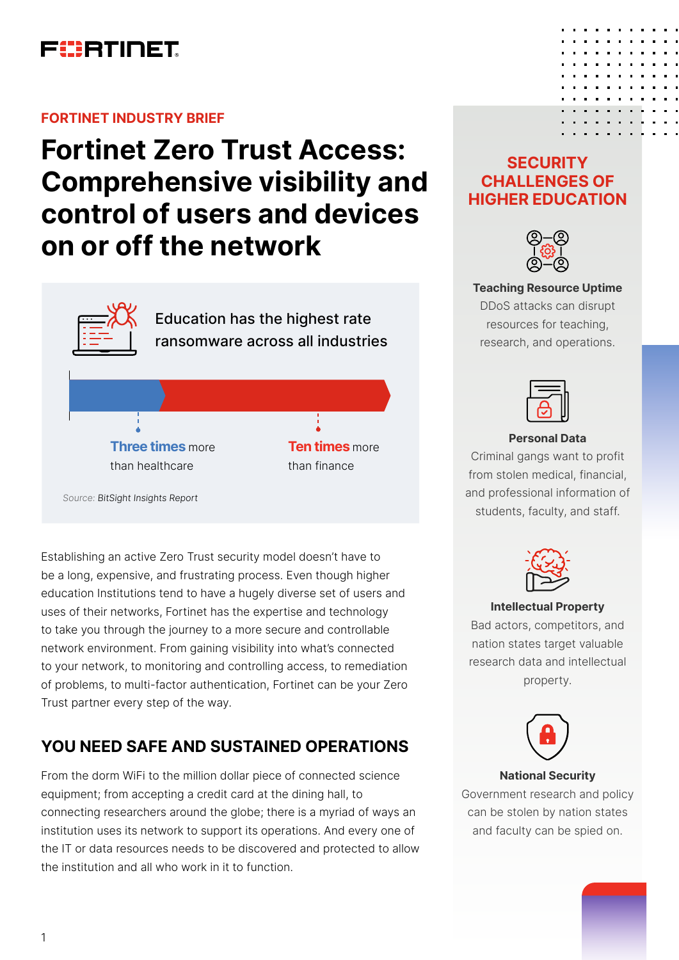

### **FORTINET INDUSTRY BRIEF**

# **Fortinet Zero Trust Access: Comprehensive visibility and control of users and devices on or off the network**



Establishing an active Zero Trust security model doesn't have to be a long, expensive, and frustrating process. Even though higher education Institutions tend to have a hugely diverse set of users and uses of their networks, Fortinet has the expertise and technology to take you through the journey to a more secure and controllable network environment. From gaining visibility into what's connected to your network, to monitoring and controlling access, to remediation of problems, to multi-factor authentication, Fortinet can be your Zero

# **YOU NEED SAFE AND SUSTAINED OPERATIONS**

Trust partner every step of the way.

From the dorm WiFi to the million dollar piece of connected science equipment; from accepting a credit card at the dining hall, to connecting researchers around the globe; there is a myriad of ways an institution uses its network to support its operations. And every one of the IT or data resources needs to be discovered and protected to allow the institution and all who work in it to function.

### **SECURITY CHALLENGES OF HIGHER EDUCATION**



**Teaching Resource Uptime** DDoS attacks can disrupt resources for teaching, research, and operations.



### **Personal Data**

Criminal gangs want to profit from stolen medical, financial, and professional information of students, faculty, and staff.



#### **Intellectual Property**

Bad actors, competitors, and nation states target valuable research data and intellectual property.



### **National Security**

Government research and policy can be stolen by nation states and faculty can be spied on.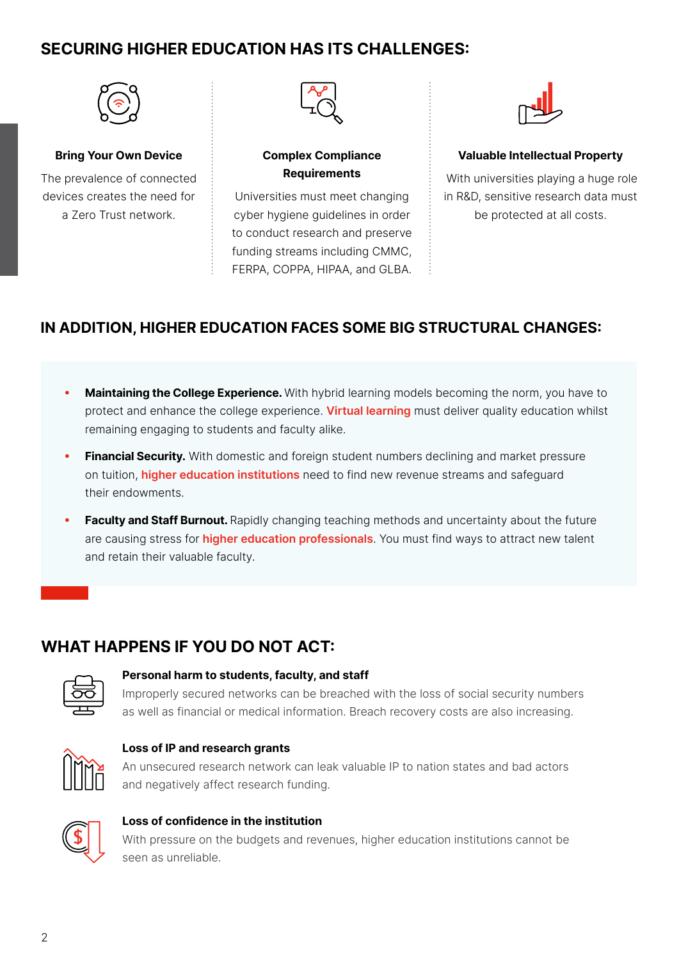# **SECURING HIGHER EDUCATION HAS ITS CHALLENGES:**



### **Bring Your Own Device**

The prevalence of connected devices creates the need for a Zero Trust network.



### **Complex Compliance Requirements**

Universities must meet changing cyber hygiene guidelines in order to conduct research and preserve funding streams including CMMC, FERPA, COPPA, HIPAA, and GLBA.



### **Valuable Intellectual Property**

With universities playing a huge role in R&D, sensitive research data must be protected at all costs.

### **IN ADDITION, HIGHER EDUCATION FACES SOME BIG STRUCTURAL CHANGES:**

- **Maintaining the College Experience.** With hybrid learning models becoming the norm, you have to protect and enhance the college experience. **Virtual learning** must deliver quality education whilst remaining engaging to students and faculty alike.
- **Financial Security.** With domestic and foreign student numbers declining and market pressure on tuition, **higher education institutions** need to find new revenue streams and safeguard their endowments.
- **Faculty and Staff Burnout.** Rapidly changing teaching methods and uncertainty about the future are causing stress for **higher education professionals**. You must find ways to attract new talent and retain their valuable faculty.

# **WHAT HAPPENS IF YOU DO NOT ACT:**

### **Personal harm to students, faculty, and staff**

Improperly secured networks can be breached with the loss of social security numbers as well as financial or medical information. Breach recovery costs are also increasing.



### **Loss of IP and research grants**

An unsecured research network can leak valuable IP to nation states and bad actors and negatively affect research funding.



### **Loss of confidence in the institution**

With pressure on the budgets and revenues, higher education institutions cannot be seen as unreliable.